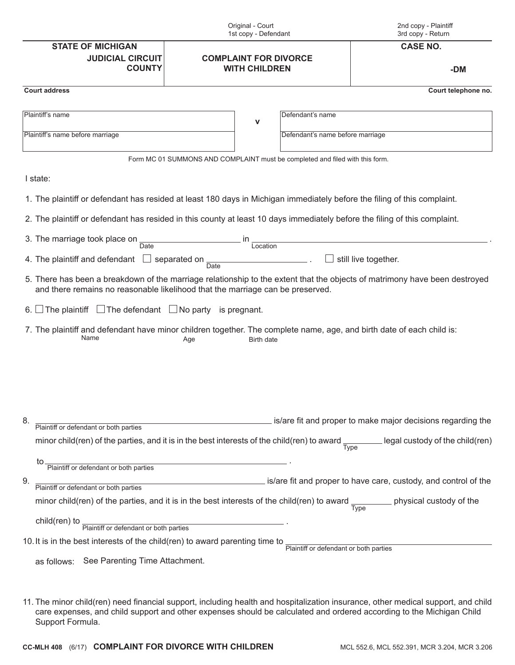| Original - Court<br>1st copy - Defendant                                     |                                                                                                                                                                                                              | 2nd copy - Plaintiff<br>3rd copy - Return                   |
|------------------------------------------------------------------------------|--------------------------------------------------------------------------------------------------------------------------------------------------------------------------------------------------------------|-------------------------------------------------------------|
| <b>STATE OF MICHIGAN</b>                                                     |                                                                                                                                                                                                              | <b>CASE NO.</b>                                             |
| <b>JUDICIAL CIRCUIT</b><br><b>COUNTY</b>                                     | <b>COMPLAINT FOR DIVORCE</b><br><b>WITH CHILDREN</b>                                                                                                                                                         | -DM                                                         |
| <b>Court address</b>                                                         |                                                                                                                                                                                                              | Court telephone no.                                         |
| Plaintiff's name                                                             | Defendant's name<br>$\mathbf{V}$                                                                                                                                                                             |                                                             |
| Plaintiff's name before marriage                                             | Defendant's name before marriage                                                                                                                                                                             |                                                             |
|                                                                              | Form MC 01 SUMMONS AND COMPLAINT must be completed and filed with this form.                                                                                                                                 |                                                             |
| I state:                                                                     |                                                                                                                                                                                                              |                                                             |
|                                                                              | 1. The plaintiff or defendant has resided at least 180 days in Michigan immediately before the filing of this complaint.                                                                                     |                                                             |
|                                                                              | 2. The plaintiff or defendant has resided in this county at least 10 days immediately before the filing of this complaint.                                                                                   |                                                             |
| 3. The marriage took place on<br>Date                                        | . in<br>Location                                                                                                                                                                                             |                                                             |
| 4. The plaintiff and defendant                                               | separated on<br>Date                                                                                                                                                                                         | still live together.                                        |
|                                                                              | 5. There has been a breakdown of the marriage relationship to the extent that the objects of matrimony have been destroyed<br>and there remains no reasonable likelihood that the marriage can be preserved. |                                                             |
| 6. The plaintiff $\Box$ The defendant $\Box$ No party is pregnant.           |                                                                                                                                                                                                              |                                                             |
| Name                                                                         | 7. The plaintiff and defendant have minor children together. The complete name, age, and birth date of each child is:<br>Age<br><b>Birth date</b>                                                            |                                                             |
|                                                                              |                                                                                                                                                                                                              |                                                             |
| Plaintiff or defendant or both parties<br>8.                                 |                                                                                                                                                                                                              | is/are fit and proper to make major decisions regarding the |
|                                                                              | minor child(ren) of the parties, and it is in the best interests of the child(ren) to award $\frac{1}{\text{Type}}$ legal custody of the child(ren)                                                          |                                                             |
| Plaintiff or defendant or both parties<br>to.                                |                                                                                                                                                                                                              |                                                             |
| 9.                                                                           | Plaintiff or defendant or both parties example is/are fit and proper to have care, custody, and control of the                                                                                               |                                                             |
|                                                                              | minor child(ren) of the parties, and it is in the best interests of the child(ren) to award $\frac{1}{\text{Type}}$ physical custody of the                                                                  |                                                             |
| child(ren) to                                                                |                                                                                                                                                                                                              |                                                             |
| Plaintiff or defendant or both parties                                       |                                                                                                                                                                                                              |                                                             |
| 10. It is in the best interests of the child(ren) to award parenting time to |                                                                                                                                                                                                              | Plaintiff or defendant or both parties                      |
| as follows: See Parenting Time Attachment.                                   |                                                                                                                                                                                                              |                                                             |
|                                                                              |                                                                                                                                                                                                              |                                                             |

11. The minor child(ren) need financial support, including health and hospitalization insurance, other medical support, and child care expenses, and child support and other expenses should be calculated and ordered according to the Michigan Child Support Formula.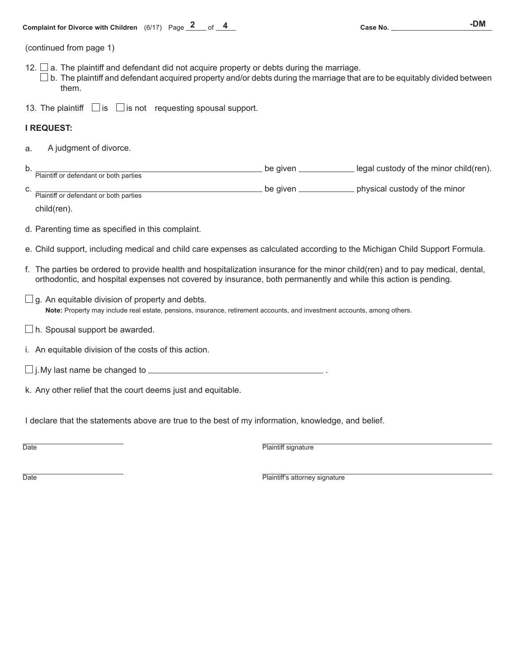**Complaint for Divorce with Children**  $(6/17)$  Page  $\frac{2}{5}$  of  $\frac{4}{5}$  and the case No. **2008** Case No. 2008 10. 2008

(continued from page 1)

- 12.  $\Box$  a. The plaintiff and defendant did not acquire property or debts during the marriage.
- $\square$  b. The plaintiff and defendant acquired property and/or debts during the marriage that are to be equitably divided between them.
- 13. The plaintiff  $\Box$  is  $\Box$  is not requesting spousal support.

## **I REQUEST:**

a. A judgment of divorce.

| ້ |                                               | alve<br>be | r child(ren).<br>, the minor<br><b>CLISTODV</b><br>0T<br>ени |
|---|-----------------------------------------------|------------|--------------------------------------------------------------|
|   | Plaintiff<br>parties<br>both<br>≅defendant or |            |                                                              |

C. Plaintiff or defendant or both parties **Plantiff or defendant or defended be given physical custody of the minor** 

child(ren).

d. Parenting time as specified in this complaint.

- e. Child support, including medical and child care expenses as calculated according to the Michigan Child Support Formula.
- f. The parties be ordered to provide health and hospitalization insurance for the minor child(ren) and to pay medical, dental, orthodontic, and hospital expenses not covered by insurance, both permanently and while this action is pending.
- $\Box$  g. An equitable division of property and debts. **Note:** Property may include real estate, pensions, insurance, retirement accounts, and investment accounts, among others.
- $\Box$  h. Spousal support be awarded.
- i. An equitable division of the costs of this action.
- $\Box$  j. My last name be changed to  $\Box$
- k. Any other relief that the court deems just and equitable.

I declare that the statements above are true to the best of my information, knowledge, and belief.

Date **Plaintiff signature Plaintiff signature** 

Date **Date Plaintiff's attorney signature**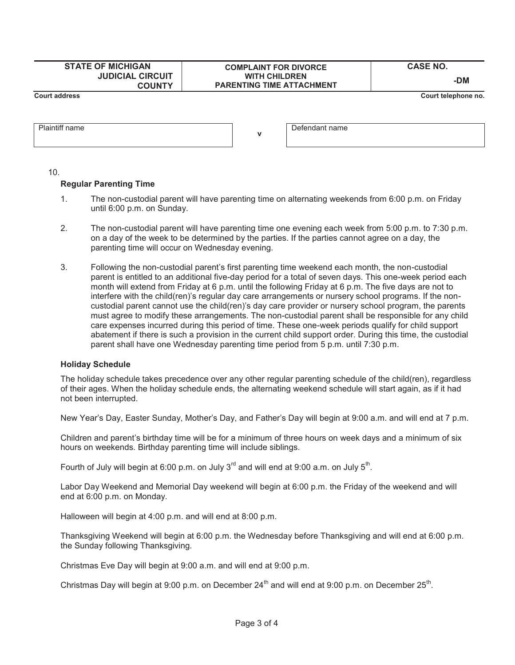| <b>STATE OF MICHIGAN</b>                 | <b>COMPLAINT FOR DIVORCE</b>                             | <b>CASE NO.</b>     |
|------------------------------------------|----------------------------------------------------------|---------------------|
| <b>JUDICIAL CIRCUIT</b><br><b>COUNTY</b> | <b>WITH CHILDREN</b><br><b>PARENTING TIME ATTACHMENT</b> | -DM                 |
| <b>Court address</b>                     |                                                          | Court telephone no. |
|                                          |                                                          |                     |

**v**

Defendant name

10.

Plaintiff name

## **Regular Parenting Time**

- 1. The non-custodial parent will have parenting time on alternating weekends from 6:00 p.m. on Friday until 6:00 p.m. on Sunday.
- 2. The non-custodial parent will have parenting time one evening each week from 5:00 p.m. to 7:30 p.m. on a day of the week to be determined by the parties. If the parties cannot agree on a day, the parenting time will occur on Wednesday evening.
- 3. Following the non-custodial parent's first parenting time weekend each month, the non-custodial parent is entitled to an additional five-day period for a total of seven days. This one-week period each month will extend from Friday at 6 p.m. until the following Friday at 6 p.m. The five days are not to interfere with the child(ren)'s regular day care arrangements or nursery school programs. If the noncustodial parent cannot use the child(ren)'s day care provider or nursery school program, the parents must agree to modify these arrangements. The non-custodial parent shall be responsible for any child care expenses incurred during this period of time. These one-week periods qualify for child support abatement if there is such a provision in the current child support order. During this time, the custodial parent shall have one Wednesday parenting time period from 5 p.m. until 7:30 p.m.

## **Holiday Schedule**

The holiday schedule takes precedence over any other regular parenting schedule of the child(ren), regardless of their ages. When the holiday schedule ends, the alternating weekend schedule will start again, as if it had not been interrupted.

New Year's Day, Easter Sunday, Mother's Day, and Father's Day will begin at 9:00 a.m. and will end at 7 p.m.

Children and parent's birthday time will be for a minimum of three hours on week days and a minimum of six hours on weekends. Birthday parenting time will include siblings.

Fourth of July will begin at 6:00 p.m. on July  $3^{rd}$  and will end at 9:00 a.m. on July  $5^{th}$ .

Labor Day Weekend and Memorial Day weekend will begin at 6:00 p.m. the Friday of the weekend and will end at 6:00 p.m. on Monday.

Halloween will begin at 4:00 p.m. and will end at 8:00 p.m.

Thanksgiving Weekend will begin at 6:00 p.m. the Wednesday before Thanksgiving and will end at 6:00 p.m. the Sunday following Thanksgiving.

Christmas Eve Day will begin at 9:00 a.m. and will end at 9:00 p.m.

Christmas Day will begin at 9:00 p.m. on December  $24<sup>th</sup>$  and will end at 9:00 p.m. on December  $25<sup>th</sup>$ .